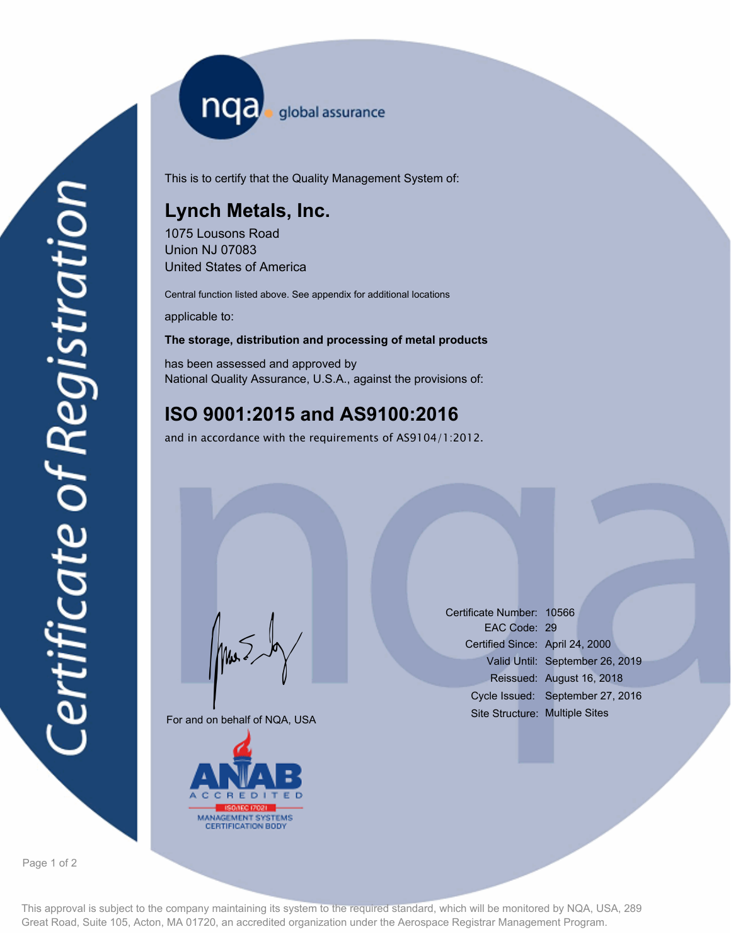nqa <sub>global assurance</sub>

This is to certify that the Quality Management System of:

## **Lynch Metals, Inc.**

1075 Lousons Road Union NJ 07083 United States of America

Central function listed above. See appendix for additional locations

applicable to:

## **The storage, distribution and processing of metal products**

has been assessed and approved by National Quality Assurance, U.S.A., against the provisions of:

## **ISO 9001:2015 and AS9100:2016**

and in accordance with the requirements of AS9104/1:2012.

For and on behalf of NQA, USA

Mus



Certificate Number: 10566 EAC Code: 29 Certified Since: April 24, 2000 Valid Until: September 26, 2019 Reissued: August 16, 2018 Cycle Issued: September 27, 2016 Site Structure: Multiple Sites

Page 1 of 2

This approval is subject to the company maintaining its system to the required standard, which will be monitored by NQA, USA, 289 Great Road, Suite 105, Acton, MA 01720, an accredited organization under the Aerospace Registrar Management Program.